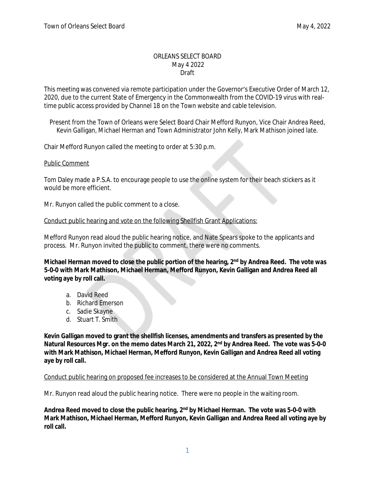#### ORLEANS SELECT BOARD May 4 2022 Draft

This meeting was convened via remote participation under the Governor's Executive Order of March 12, 2020, due to the current State of Emergency in the Commonwealth from the COVID-19 virus with realtime public access provided by Channel 18 on the Town website and cable television.

Present from the Town of Orleans were Select Board Chair Mefford Runyon, Vice Chair Andrea Reed, Kevin Galligan, Michael Herman and Town Administrator John Kelly, Mark Mathison joined late.

Chair Mefford Runyon called the meeting to order at 5:30 p.m.

#### Public Comment

Tom Daley made a P.S.A. to encourage people to use the online system for their beach stickers as it would be more efficient.

Mr. Runyon called the public comment to a close.

### Conduct public hearing and vote on the following Shellfish Grant Applications:

Mefford Runyon read aloud the public hearing notice, and Nate Spears spoke to the applicants and process. Mr. Runyon invited the public to comment, there were no comments.

**Michael Herman moved to close the public portion of the hearing, 2nd by Andrea Reed. The vote was 5-0-0 with Mark Mathison, Michael Herman, Mefford Runyon, Kevin Galligan and Andrea Reed all voting aye by roll call.**

- a. David Reed
- b. Richard Emerson
- c. Sadie Skayne
- d. Stuart T. Smith

**Kevin Galligan moved to grant the shellfish licenses, amendments and transfers as presented by the Natural Resources Mgr. on the memo dates March 21, 2022, 2nd by Andrea Reed. The vote was 5-0-0 with Mark Mathison, Michael Herman, Mefford Runyon, Kevin Galligan and Andrea Reed all voting aye by roll call.**

### Conduct public hearing on proposed fee increases to be considered at the Annual Town Meeting

Mr. Runyon read aloud the public hearing notice. There were no people in the waiting room.

**Andrea Reed moved to close the public hearing, 2nd by Michael Herman. The vote was 5-0-0 with Mark Mathison, Michael Herman, Mefford Runyon, Kevin Galligan and Andrea Reed all voting aye by roll call.**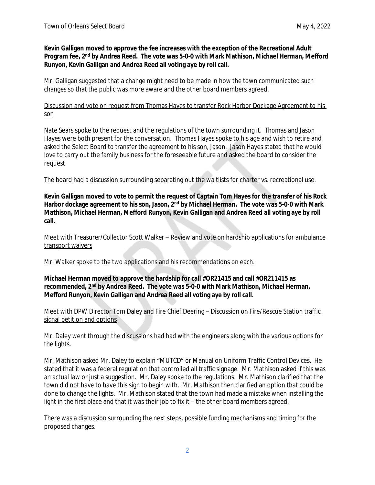### **Kevin Galligan moved to approve the fee increases with the exception of the Recreational Adult Program fee, 2nd by Andrea Reed. The vote was 5-0-0 with Mark Mathison, Michael Herman, Mefford Runyon, Kevin Galligan and Andrea Reed all voting aye by roll call.**

Mr. Galligan suggested that a change might need to be made in how the town communicated such changes so that the public was more aware and the other board members agreed.

Discussion and vote on request from Thomas Hayes to transfer Rock Harbor Dockage Agreement to his son

Nate Sears spoke to the request and the regulations of the town surrounding it. Thomas and Jason Hayes were both present for the conversation. Thomas Hayes spoke to his age and wish to retire and asked the Select Board to transfer the agreement to his son, Jason. Jason Hayes stated that he would love to carry out the family business for the foreseeable future and asked the board to consider the request.

The board had a discussion surrounding separating out the waitlists for charter vs. recreational use.

**Kevin Galligan moved to vote to permit the request of Captain Tom Hayes for the transfer of his Rock Harbor dockage agreement to his son, Jason, 2nd by Michael Herman. The vote was 5-0-0 with Mark Mathison, Michael Herman, Mefford Runyon, Kevin Galligan and Andrea Reed all voting aye by roll call.**

Meet with Treasurer/Collector Scott Walker – Review and vote on hardship applications for ambulance transport waivers

Mr. Walker spoke to the two applications and his recommendations on each.

## **Michael Herman moved to approve the hardship for call #OR21415 and call #OR211415 as recommended, 2nd by Andrea Reed. The vote was 5-0-0 with Mark Mathison, Michael Herman, Mefford Runyon, Kevin Galligan and Andrea Reed all voting aye by roll call.**

Meet with DPW Director Tom Daley and Fire Chief Deering – Discussion on Fire/Rescue Station traffic signal petition and options

Mr. Daley went through the discussions had had with the engineers along with the various options for the lights.

Mr. Mathison asked Mr. Daley to explain "MUTCD" or Manual on Uniform Traffic Control Devices. He stated that it was a federal regulation that controlled all traffic signage. Mr. Mathison asked if this was an actual law or just a suggestion. Mr. Daley spoke to the regulations. Mr. Mathison clarified that the town did not have to have this sign to begin with. Mr. Mathison then clarified an option that could be done to change the lights. Mr. Mathison stated that the town had made a mistake when installing the light in the first place and that it was their job to fix it – the other board members agreed.

There was a discussion surrounding the next steps, possible funding mechanisms and timing for the proposed changes.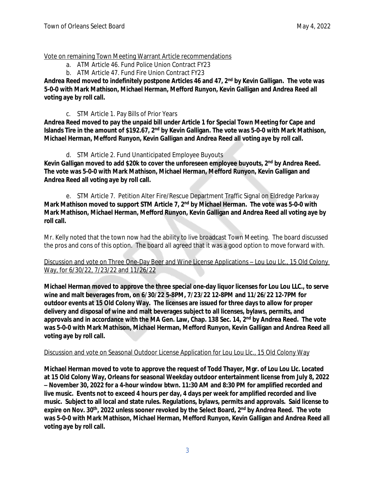Vote on remaining Town Meeting Warrant Article recommendations

- a. ATM Article 46. Fund Police Union Contract FY23
- b. ATM Article 47. Fund Fire Union Contract FY23

**Andrea Reed moved to indefinitely postpone Articles 46 and 47, 2nd by Kevin Galligan. The vote was 5-0-0 with Mark Mathison, Michael Herman, Mefford Runyon, Kevin Galligan and Andrea Reed all voting aye by roll call.**

c. STM Article 1. Pay Bills of Prior Years

**Andrea Reed moved to pay the unpaid bill under Article 1 for Special Town Meeting for Cape and Islands Tire in the amount of \$192.67, 2nd by Kevin Galligan. The vote was 5-0-0 with Mark Mathison, Michael Herman, Mefford Runyon, Kevin Galligan and Andrea Reed all voting aye by roll call.**

# d. STM Article 2. Fund Unanticipated Employee Buyouts

**Kevin Galligan moved to add \$20k to cover the unforeseen employee buyouts, 2nd by Andrea Reed. The vote was 5-0-0 with Mark Mathison, Michael Herman, Mefford Runyon, Kevin Galligan and Andrea Reed all voting aye by roll call.**

e. STM Article 7. Petition Alter Fire/Rescue Department Traffic Signal on Eldredge Parkway **Mark Mathison moved to support STM Article 7, 2nd by Michael Herman. The vote was 5-0-0 with Mark Mathison, Michael Herman, Mefford Runyon, Kevin Galligan and Andrea Reed all voting aye by roll call.**

Mr. Kelly noted that the town now had the ability to live broadcast Town Meeting. The board discussed the pros and cons of this option. The board all agreed that it was a good option to move forward with.

Discussion and vote on Three One-Day Beer and Wine License Applications – Lou Lou Llc., 15 Old Colony Way, for 6/30/22, 7/23/22 and 11/26/22

**Michael Herman moved to approve the three special one-day liquor licenses for Lou Lou LLC., to serve wine and malt beverages from, on 6/30/22 5-8PM, 7/23/22 12-8PM and 11/26/22 12-7PM for outdoor events at 15 Old Colony Way. The licenses are issued for three days to allow for proper delivery and disposal of wine and malt beverages subject to all licenses, bylaws, permits, and approvals and in accordance with the MA Gen. Law, Chap. 138 Sec. 14, 2nd by Andrea Reed. The vote was 5-0-0 with Mark Mathison, Michael Herman, Mefford Runyon, Kevin Galligan and Andrea Reed all voting aye by roll call.**

## Discussion and vote on Seasonal Outdoor License Application for Lou Lou Llc., 15 Old Colony Way

**Michael Herman moved to vote to approve the request of Todd Thayer, Mgr. of Lou Lou Llc. Located at 15 Old Colony Way, Orleans for seasonal Weekday outdoor entertainment license from July 8, 2022 – November 30, 2022 for a 4-hour window btwn. 11:30 AM and 8:30 PM for amplified recorded and live music. Events not to exceed 4 hours per day, 4 days per week for amplified recorded and live music. Subject to all local and state rules. Regulations, bylaws, permits and approvals. Said license to expire on Nov. 30th, 2022 unless sooner revoked by the Select Board, 2nd by Andrea Reed. The vote was 5-0-0 with Mark Mathison, Michael Herman, Mefford Runyon, Kevin Galligan and Andrea Reed all voting aye by roll call.**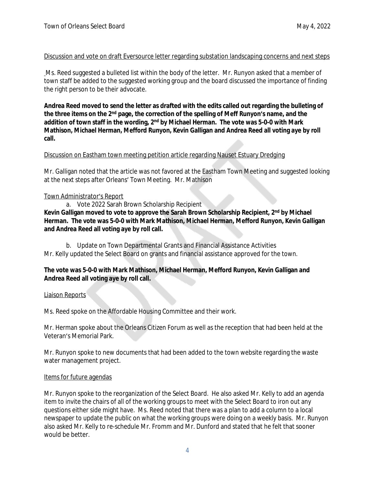## Discussion and vote on draft Eversource letter regarding substation landscaping concerns and next steps

Ms. Reed suggested a bulleted list within the body of the letter. Mr. Runyon asked that a member of town staff be added to the suggested working group and the board discussed the importance of finding the right person to be their advocate.

**Andrea Reed moved to send the letter as drafted with the edits called out regarding the bulleting of the three items on the 2nd page, the correction of the spelling of Meff Runyon's name, and the addition of town staff in the wording, 2nd by Michael Herman. The vote was 5-0-0 with Mark Mathison, Michael Herman, Mefford Runyon, Kevin Galligan and Andrea Reed all voting aye by roll call.**

## Discussion on Eastham town meeting petition article regarding Nauset Estuary Dredging

Mr. Galligan noted that the article was not favored at the Eastham Town Meeting and suggested looking at the next steps after Orleans' Town Meeting. Mr. Mathison

## Town Administrator's Report

a. Vote 2022 Sarah Brown Scholarship Recipient **Kevin Galligan moved to vote to approve the Sarah Brown Scholarship Recipient, 2nd by Michael Herman. The vote was 5-0-0 with Mark Mathison, Michael Herman, Mefford Runyon, Kevin Galligan and Andrea Reed all voting aye by roll call.**

b. Update on Town Departmental Grants and Financial Assistance Activities Mr. Kelly updated the Select Board on grants and financial assistance approved for the town.

## **The vote was 5-0-0 with Mark Mathison, Michael Herman, Mefford Runyon, Kevin Galligan and Andrea Reed all voting aye by roll call.**

### Liaison Reports

Ms. Reed spoke on the Affordable Housing Committee and their work.

Mr. Herman spoke about the Orleans Citizen Forum as well as the reception that had been held at the Veteran's Memorial Park.

Mr. Runyon spoke to new documents that had been added to the town website regarding the waste water management project.

### Items for future agendas

Mr. Runyon spoke to the reorganization of the Select Board. He also asked Mr. Kelly to add an agenda item to invite the chairs of all of the working groups to meet with the Select Board to iron out any questions either side might have. Ms. Reed noted that there was a plan to add a column to a local newspaper to update the public on what the working groups were doing on a weekly basis. Mr. Runyon also asked Mr. Kelly to re-schedule Mr. Fromm and Mr. Dunford and stated that he felt that sooner would be better.